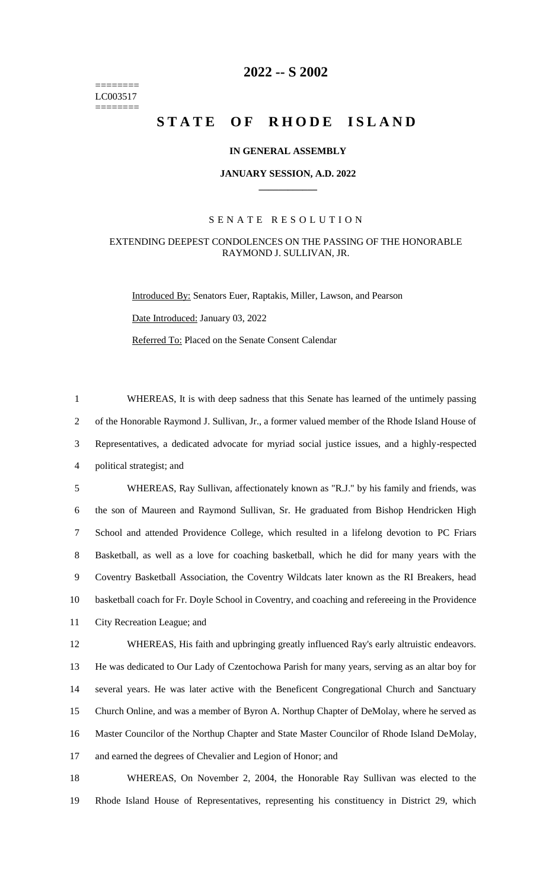======== LC003517 ========

# **-- S 2002**

# **STATE OF RHODE ISLAND**

## **IN GENERAL ASSEMBLY**

#### **JANUARY SESSION, A.D. 2022 \_\_\_\_\_\_\_\_\_\_\_\_**

## S E N A T E R E S O L U T I O N

# EXTENDING DEEPEST CONDOLENCES ON THE PASSING OF THE HONORABLE RAYMOND J. SULLIVAN, JR.

Introduced By: Senators Euer, Raptakis, Miller, Lawson, and Pearson Date Introduced: January 03, 2022 Referred To: Placed on the Senate Consent Calendar

 WHEREAS, It is with deep sadness that this Senate has learned of the untimely passing of the Honorable Raymond J. Sullivan, Jr., a former valued member of the Rhode Island House of Representatives, a dedicated advocate for myriad social justice issues, and a highly-respected political strategist; and

 WHEREAS, Ray Sullivan, affectionately known as "R.J." by his family and friends, was the son of Maureen and Raymond Sullivan, Sr. He graduated from Bishop Hendricken High School and attended Providence College, which resulted in a lifelong devotion to PC Friars Basketball, as well as a love for coaching basketball, which he did for many years with the Coventry Basketball Association, the Coventry Wildcats later known as the RI Breakers, head basketball coach for Fr. Doyle School in Coventry, and coaching and refereeing in the Providence City Recreation League; and

 WHEREAS, His faith and upbringing greatly influenced Ray's early altruistic endeavors. He was dedicated to Our Lady of Czentochowa Parish for many years, serving as an altar boy for several years. He was later active with the Beneficent Congregational Church and Sanctuary Church Online, and was a member of Byron A. Northup Chapter of DeMolay, where he served as Master Councilor of the Northup Chapter and State Master Councilor of Rhode Island DeMolay, and earned the degrees of Chevalier and Legion of Honor; and

 WHEREAS, On November 2, 2004, the Honorable Ray Sullivan was elected to the Rhode Island House of Representatives, representing his constituency in District 29, which